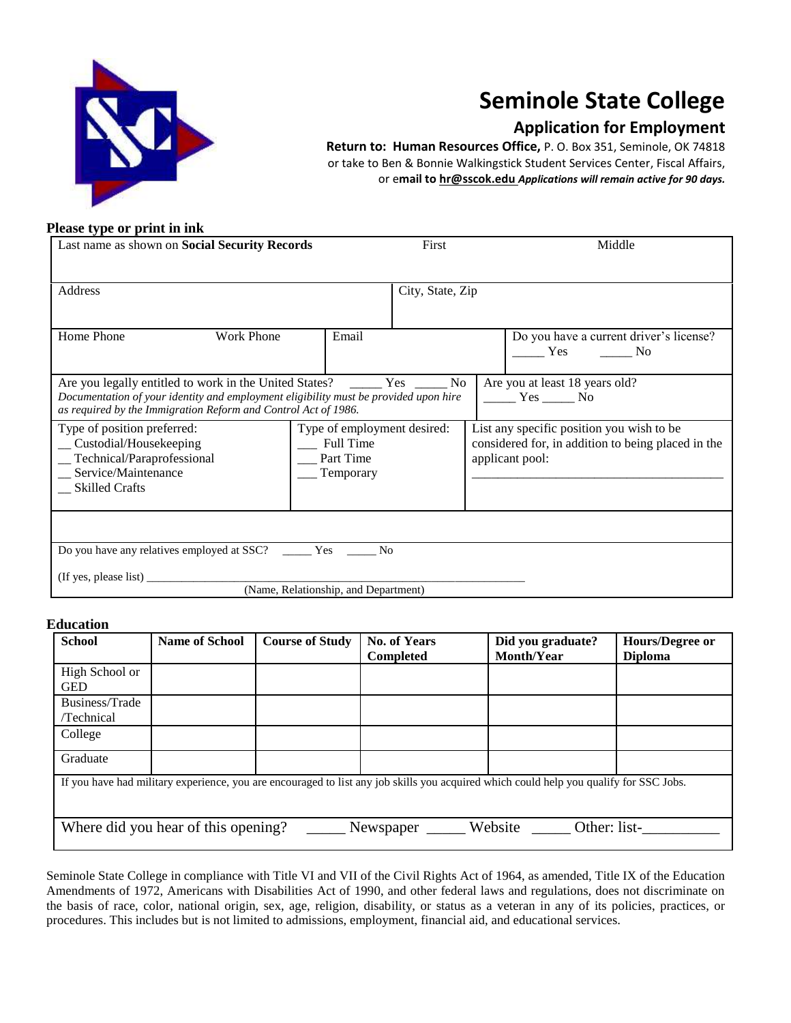

# **Seminole State College**

## **Application for Employment**

**Return to: Human Resources Office,** P. O. Box 351, Seminole, OK 74818 or take to Ben & Bonnie Walkingstick Student Services Center, Fiscal Affairs, or e**mail to hr@sscok.edu** *Applications will remain active for 90 days.* 

#### **Please type or print in ink**

| Last name as shown on <b>Social Security Records</b>                                                                                                   |                                                                       | First            | Middle                                                                                                             |  |
|--------------------------------------------------------------------------------------------------------------------------------------------------------|-----------------------------------------------------------------------|------------------|--------------------------------------------------------------------------------------------------------------------|--|
|                                                                                                                                                        |                                                                       |                  |                                                                                                                    |  |
| Address                                                                                                                                                |                                                                       | City, State, Zip |                                                                                                                    |  |
|                                                                                                                                                        |                                                                       |                  |                                                                                                                    |  |
| Home Phone<br><b>Work Phone</b>                                                                                                                        | Email                                                                 |                  | Do you have a current driver's license?<br>Yes No                                                                  |  |
| Documentation of your identity and employment eligibility must be provided upon hire<br>as required by the Immigration Reform and Control Act of 1986. |                                                                       |                  | Are you at least 18 years old?<br>$\frac{1}{1}$ Yes $\frac{1}{1}$ No                                               |  |
| Type of position preferred:<br>_ Custodial/Housekeeping<br>_Technical/Paraprofessional<br>_ Service/Maintenance<br><b>Skilled Crafts</b>               | Type of employment desired:<br>Full Time<br>Part Time<br>$T$ emporary |                  | List any specific position you wish to be<br>considered for, in addition to being placed in the<br>applicant pool: |  |
|                                                                                                                                                        |                                                                       |                  |                                                                                                                    |  |
| Do you have any relatives employed at SSC? _______ Yes ______                                                                                          | N <sub>0</sub>                                                        |                  |                                                                                                                    |  |
|                                                                                                                                                        |                                                                       |                  |                                                                                                                    |  |
|                                                                                                                                                        | (Name, Relationship, and Department)                                  |                  |                                                                                                                    |  |

### **Education**

| <b>School</b>                | <b>Name of School</b>               | <b>Course of Study</b> | <b>No. of Years</b><br><b>Completed</b> | Did you graduate?<br><b>Month/Year</b>                                                                                                 | Hours/Degree or<br><b>Diploma</b> |
|------------------------------|-------------------------------------|------------------------|-----------------------------------------|----------------------------------------------------------------------------------------------------------------------------------------|-----------------------------------|
| High School or<br><b>GED</b> |                                     |                        |                                         |                                                                                                                                        |                                   |
| Business/Trade<br>/Technical |                                     |                        |                                         |                                                                                                                                        |                                   |
| College                      |                                     |                        |                                         |                                                                                                                                        |                                   |
| Graduate                     |                                     |                        |                                         |                                                                                                                                        |                                   |
|                              |                                     |                        |                                         | If you have had military experience, you are encouraged to list any job skills you acquired which could help you qualify for SSC Jobs. |                                   |
|                              | Where did you hear of this opening? |                        | Newspaper                               | Website<br>Other: list-                                                                                                                |                                   |

Seminole State College in compliance with Title VI and VII of the Civil Rights Act of 1964, as amended, Title IX of the Education Amendments of 1972, Americans with Disabilities Act of 1990, and other federal laws and regulations, does not discriminate on the basis of race, color, national origin, sex, age, religion, disability, or status as a veteran in any of its policies, practices, or procedures. This includes but is not limited to admissions, employment, financial aid, and educational services.